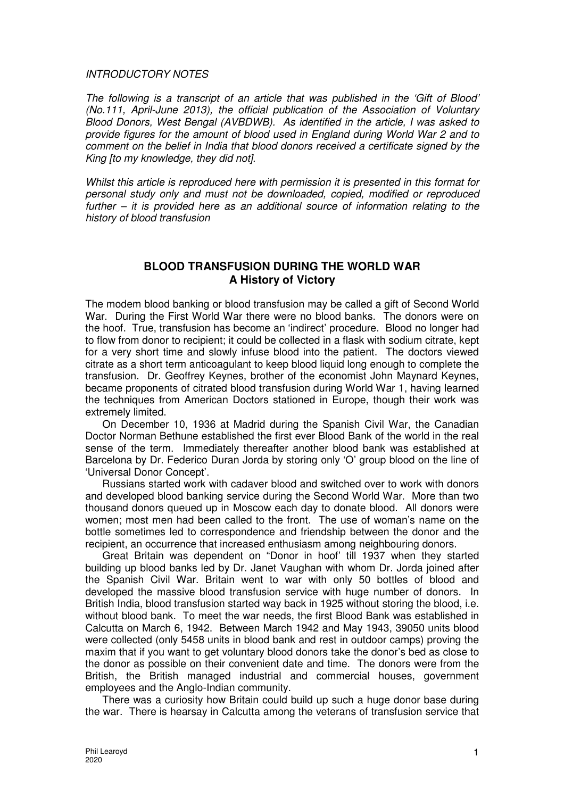## INTRODUCTORY NOTES

The following is a transcript of an article that was published in the 'Gift of Blood' (No.111, April-June 2013), the official publication of the Association of Voluntary Blood Donors, West Bengal (AVBDWB). As identified in the article, I was asked to provide figures for the amount of blood used in England during World War 2 and to comment on the belief in India that blood donors received a certificate signed by the King [to my knowledge, they did not].

Whilst this article is reproduced here with permission it is presented in this format for personal study only and must not be downloaded, copied, modified or reproduced further – it is provided here as an additional source of information relating to the history of blood transfusion

## **BLOOD TRANSFUSION DURING THE WORLD WAR A History of Victory**

The modem blood banking or blood transfusion may be called a gift of Second World War. During the First World War there were no blood banks. The donors were on the hoof. True, transfusion has become an 'indirect' procedure. Blood no longer had to flow from donor to recipient; it could be collected in a flask with sodium citrate, kept for a very short time and slowly infuse blood into the patient. The doctors viewed citrate as a short term anticoagulant to keep blood liquid long enough to complete the transfusion. Dr. Geoffrey Keynes, brother of the economist John Maynard Keynes, became proponents of citrated blood transfusion during World War 1, having learned the techniques from American Doctors stationed in Europe, though their work was extremely limited.

On December 10, 1936 at Madrid during the Spanish Civil War, the Canadian Doctor Norman Bethune established the first ever Blood Bank of the world in the real sense of the term. Immediately thereafter another blood bank was established at Barcelona by Dr. Federico Duran Jorda by storing only 'O' group blood on the line of 'Universal Donor Concept'.

Russians started work with cadaver blood and switched over to work with donors and developed blood banking service during the Second World War. More than two thousand donors queued up in Moscow each day to donate blood. All donors were women; most men had been called to the front. The use of woman's name on the bottle sometimes led to correspondence and friendship between the donor and the recipient, an occurrence that increased enthusiasm among neighbouring donors.

Great Britain was dependent on "Donor in hoof' till 1937 when they started building up blood banks led by Dr. Janet Vaughan with whom Dr. Jorda joined after the Spanish Civil War. Britain went to war with only 50 bottles of blood and developed the massive blood transfusion service with huge number of donors. In British India, blood transfusion started way back in 1925 without storing the blood, i.e. without blood bank. To meet the war needs, the first Blood Bank was established in Calcutta on March 6, 1942. Between March 1942 and May 1943, 39050 units blood were collected (only 5458 units in blood bank and rest in outdoor camps) proving the maxim that if you want to get voluntary blood donors take the donor's bed as close to the donor as possible on their convenient date and time. The donors were from the British, the British managed industrial and commercial houses, government employees and the Anglo-Indian community.

There was a curiosity how Britain could build up such a huge donor base during the war. There is hearsay in Calcutta among the veterans of transfusion service that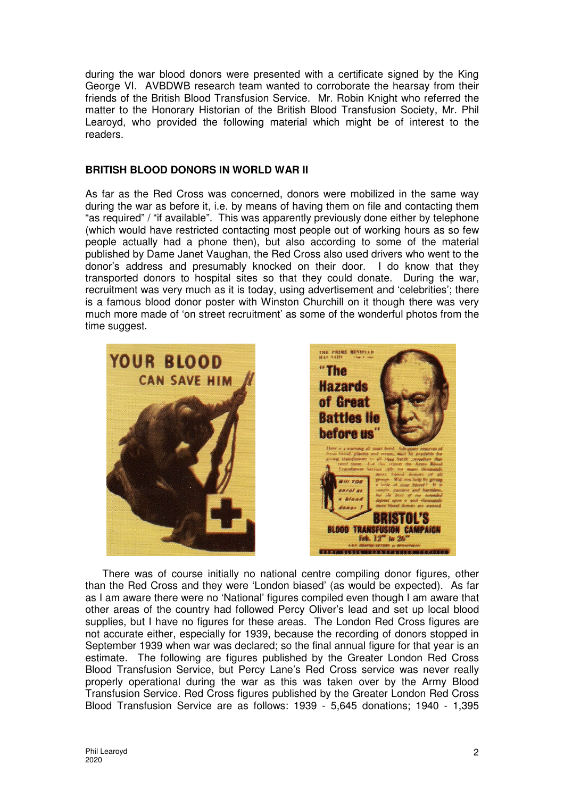during the war blood donors were presented with a certificate signed by the King George VI. AVBDWB research team wanted to corroborate the hearsay from their friends of the British Blood Transfusion Service. Mr. Robin Knight who referred the matter to the Honorary Historian of the British Blood Transfusion Society, Mr. Phil Learoyd, who provided the following material which might be of interest to the readers.

## **BRITISH BLOOD DONORS IN WORLD WAR II**

As far as the Red Cross was concerned, donors were mobilized in the same way during the war as before it, i.e. by means of having them on file and contacting them "as required" / "if available". This was apparently previously done either by telephone (which would have restricted contacting most people out of working hours as so few people actually had a phone then), but also according to some of the material published by Dame Janet Vaughan, the Red Cross also used drivers who went to the donor's address and presumably knocked on their door. I do know that they transported donors to hospital sites so that they could donate. During the war, recruitment was very much as it is today, using advertisement and 'celebrities'; there is a famous blood donor poster with Winston Churchill on it though there was very much more made of 'on street recruitment' as some of the wonderful photos from the time suggest.





There was of course initially no national centre compiling donor figures, other than the Red Cross and they were 'London biased' (as would be expected). As far as I am aware there were no 'National' figures compiled even though I am aware that other areas of the country had followed Percy Oliver's lead and set up local blood supplies, but I have no figures for these areas. The London Red Cross figures are not accurate either, especially for 1939, because the recording of donors stopped in September 1939 when war was declared; so the final annual figure for that year is an estimate. The following are figures published by the Greater London Red Cross Blood Transfusion Service, but Percy Lane's Red Cross service was never really properly operational during the war as this was taken over by the Army Blood Transfusion Service. Red Cross figures published by the Greater London Red Cross Blood Transfusion Service are as follows: 1939 - 5,645 donations; 1940 - 1,395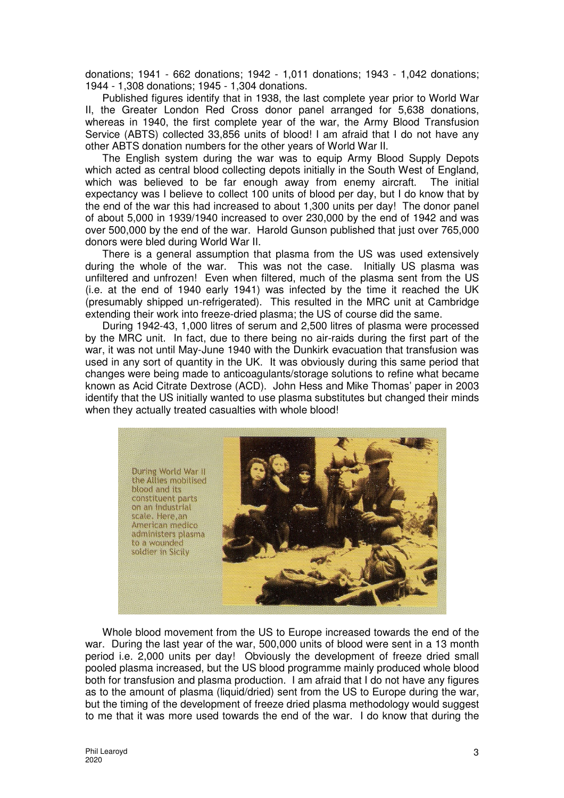donations; 1941 - 662 donations; 1942 - 1,011 donations; 1943 - 1,042 donations; 1944 - 1,308 donations; 1945 - 1,304 donations.

Published figures identify that in 1938, the last complete year prior to World War II, the Greater London Red Cross donor panel arranged for 5,638 donations, whereas in 1940, the first complete year of the war, the Army Blood Transfusion Service (ABTS) collected 33,856 units of blood! I am afraid that I do not have any other ABTS donation numbers for the other years of World War II.

The English system during the war was to equip Army Blood Supply Depots which acted as central blood collecting depots initially in the South West of England, which was believed to be far enough away from enemy aircraft. The initial expectancy was I believe to collect 100 units of blood per day, but I do know that by the end of the war this had increased to about 1,300 units per day! The donor panel of about 5,000 in 1939/1940 increased to over 230,000 by the end of 1942 and was over 500,000 by the end of the war. Harold Gunson published that just over 765,000 donors were bled during World War II.

There is a general assumption that plasma from the US was used extensively during the whole of the war. This was not the case. Initially US plasma was unfiltered and unfrozen! Even when filtered, much of the plasma sent from the US (i.e. at the end of 1940 early 1941) was infected by the time it reached the UK (presumably shipped un-refrigerated). This resulted in the MRC unit at Cambridge extending their work into freeze-dried plasma; the US of course did the same.

During 1942-43, 1,000 litres of serum and 2,500 litres of plasma were processed by the MRC unit. In fact, due to there being no air-raids during the first part of the war, it was not until May-June 1940 with the Dunkirk evacuation that transfusion was used in any sort of quantity in the UK. It was obviously during this same period that changes were being made to anticoagulants/storage solutions to refine what became known as Acid Citrate Dextrose (ACD). John Hess and Mike Thomas' paper in 2003 identify that the US initially wanted to use plasma substitutes but changed their minds when they actually treated casualties with whole blood!



Whole blood movement from the US to Europe increased towards the end of the war. During the last year of the war, 500,000 units of blood were sent in a 13 month period i.e. 2,000 units per day! Obviously the development of freeze dried small pooled plasma increased, but the US blood programme mainly produced whole blood both for transfusion and plasma production. I am afraid that I do not have any figures as to the amount of plasma (liquid/dried) sent from the US to Europe during the war, but the timing of the development of freeze dried plasma methodology would suggest to me that it was more used towards the end of the war. I do know that during the